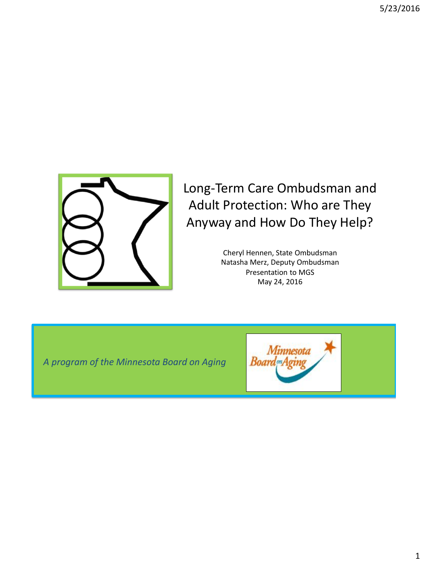

#### Long-Term Care Ombudsman and Adult Protection: Who are They Anyway and How Do They Help?

Cheryl Hennen, State Ombudsman Natasha Merz, Deputy Ombudsman Presentation to MGS May 24, 2016

*A program of the Minnesota Board on Aging* 

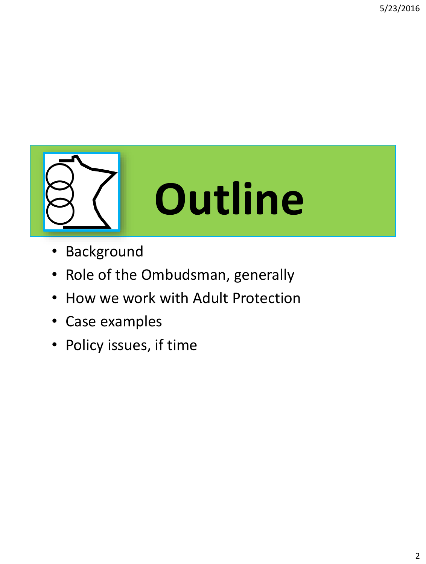

- Background
- Role of the Ombudsman, generally
- How we work with Adult Protection
- Case examples
- Policy issues, if time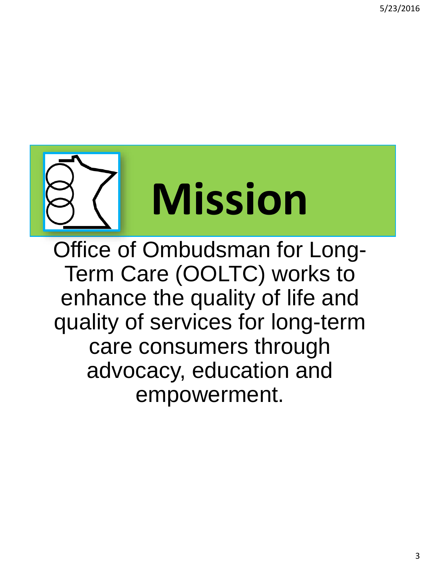

Office of Ombudsman for Long-Term Care (OOLTC) works to enhance the quality of life and quality of services for long-term care consumers through advocacy, education and empowerment.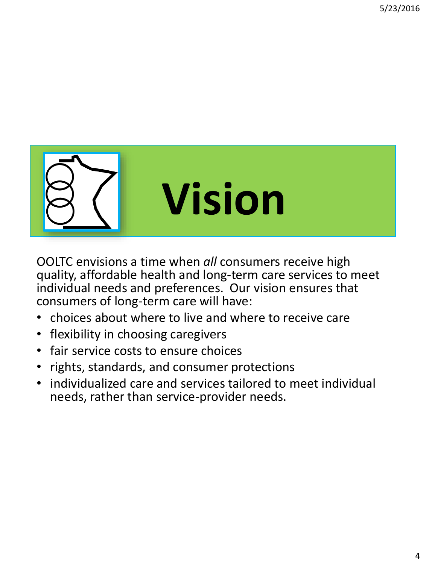

OOLTC envisions a time when *all* consumers receive high quality, affordable health and long-term care services to meet individual needs and preferences. Our vision ensures that consumers of long-term care will have:

- choices about where to live and where to receive care
- flexibility in choosing caregivers
- fair service costs to ensure choices
- rights, standards, and consumer protections
- individualized care and services tailored to meet individual needs, rather than service-provider needs.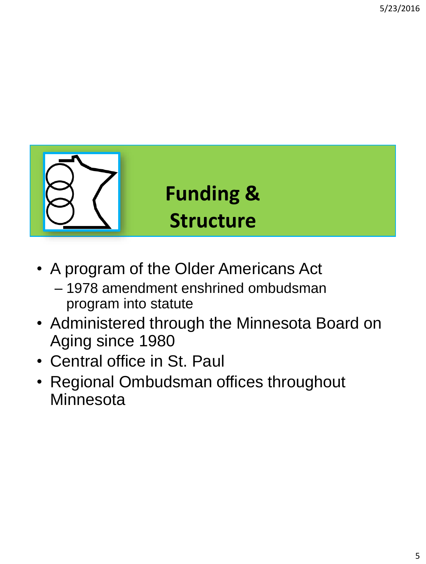

- A program of the Older Americans Act
	- 1978 amendment enshrined ombudsman program into statute
- Administered through the Minnesota Board on Aging since 1980
- Central office in St. Paul
- Regional Ombudsman offices throughout **Minnesota**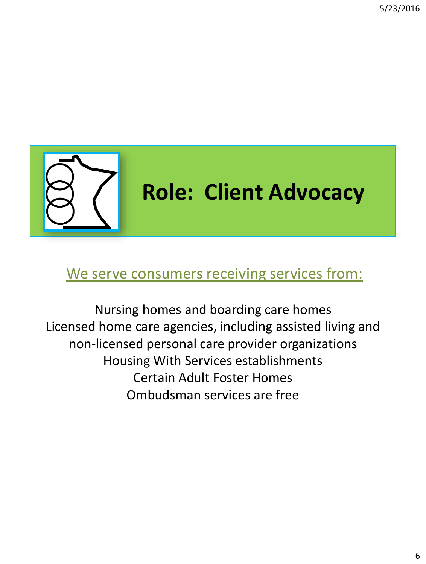

#### We serve consumers receiving services from:

Nursing homes and boarding care homes Licensed home care agencies, including assisted living and non-licensed personal care provider organizations Housing With Services establishments Certain Adult Foster Homes Ombudsman services are free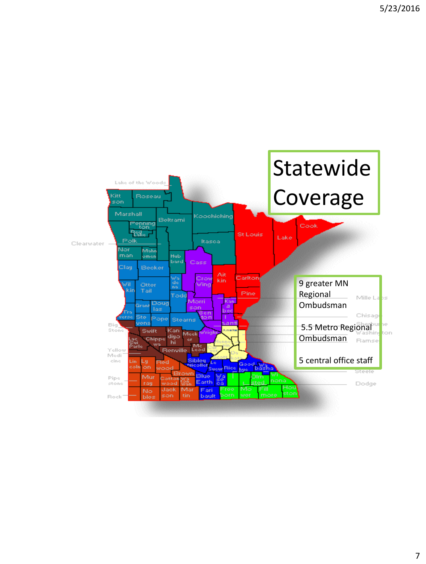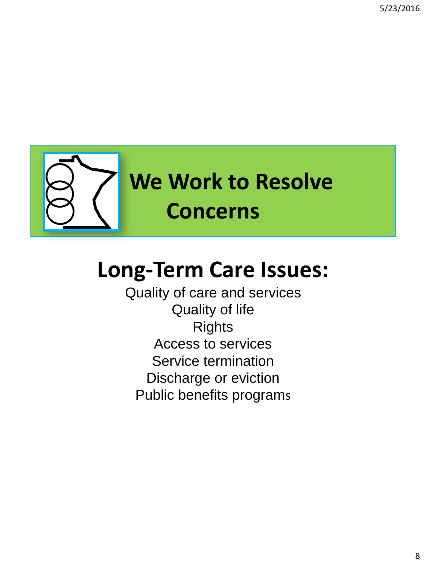

# **Long-Term Care Issues:**

Quality of care and services Quality of life Rights Access to services Service termination Discharge or eviction Public benefits programs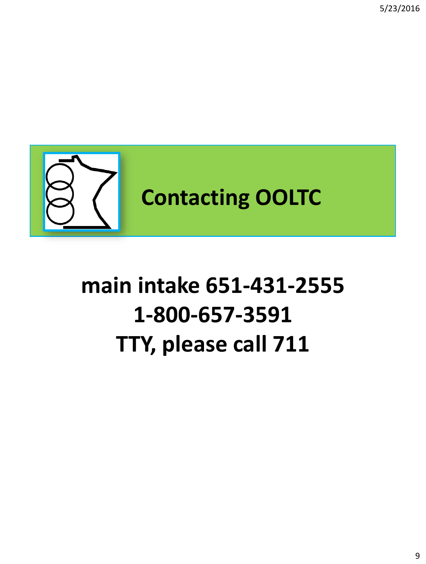5/23/2016



# **main intake 651-431-2555 1-800-657-3591 TTY, please call 711**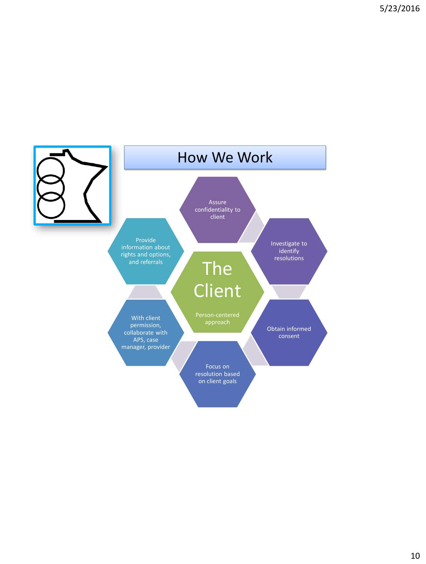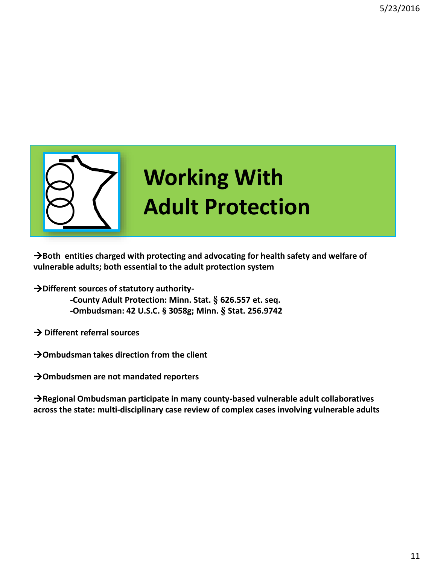

 $\rightarrow$  Both entities charged with protecting and advocating for health safety and welfare of **vulnerable adults; both essential to the adult protection system**

**Different sources of statutory authority-**

**-County Adult Protection: Minn. Stat. § 626.557 et. seq. -Ombudsman: 42 U.S.C. § 3058g; Minn. § Stat. 256.9742** 

**Different referral sources**

**Ombudsman takes direction from the client**

**Ombudsmen are not mandated reporters**

**Regional Ombudsman participate in many county-based vulnerable adult collaboratives across the state: multi-disciplinary case review of complex cases involving vulnerable adults**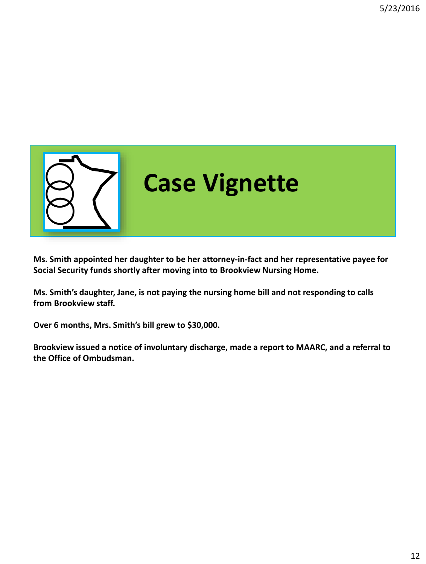

**Ms. Smith appointed her daughter to be her attorney-in-fact and her representative payee for Social Security funds shortly after moving into to Brookview Nursing Home.**

**Ms. Smith's daughter, Jane, is not paying the nursing home bill and not responding to calls from Brookview staff.**

**Over 6 months, Mrs. Smith's bill grew to \$30,000.** 

**Brookview issued a notice of involuntary discharge, made a report to MAARC, and a referral to the Office of Ombudsman.**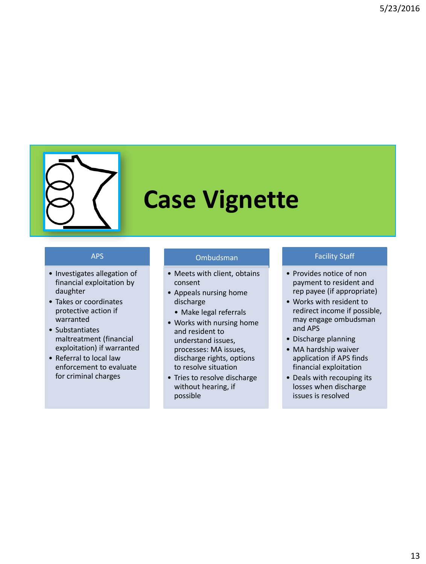

# **Case Vignette**

#### APS

- Investigates allegation of financial exploitation by daughter
- Takes or coordinates protective action if warranted
- Substantiates maltreatment (financial exploitation) if warranted
- Referral to local law enforcement to evaluate for criminal charges

#### Ombudsman

- Meets with client, obtains consent
- Appeals nursing home discharge
	- Make legal referrals
- Works with nursing home and resident to understand issues, processes: MA issues, discharge rights, options to resolve situation
- Tries to resolve discharge without hearing, if possible

#### Facility Staff

- Provides notice of non payment to resident and rep payee (if appropriate)
- Works with resident to redirect income if possible, may engage ombudsman and APS
- Discharge planning
- MA hardship waiver application if APS finds financial exploitation
- Deals with recouping its losses when discharge issues is resolved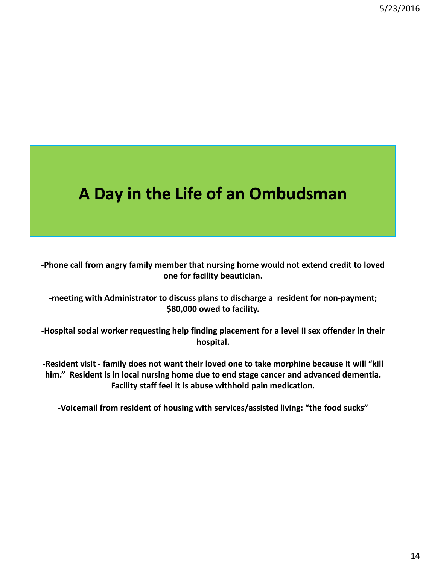### **A Day in the Life of an Ombudsman**

**-Phone call from angry family member that nursing home would not extend credit to loved one for facility beautician.**

**-meeting with Administrator to discuss plans to discharge a resident for non-payment; \$80,000 owed to facility.**

**-Hospital social worker requesting help finding placement for a level II sex offender in their hospital.**

**-Resident visit - family does not want their loved one to take morphine because it will "kill him." Resident is in local nursing home due to end stage cancer and advanced dementia. Facility staff feel it is abuse withhold pain medication.**

**-Voicemail from resident of housing with services/assisted living: "the food sucks"**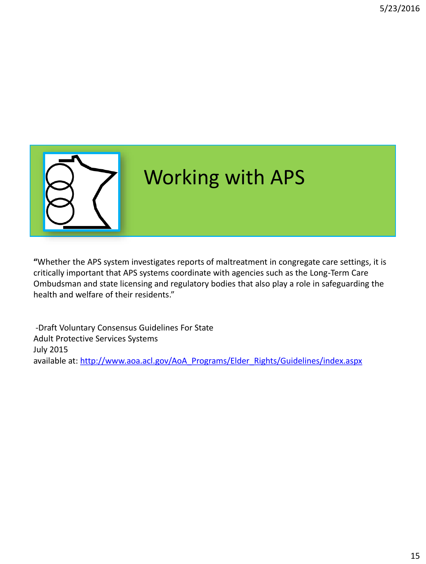

**"**Whether the APS system investigates reports of maltreatment in congregate care settings, it is critically important that APS systems coordinate with agencies such as the Long-Term Care Ombudsman and state licensing and regulatory bodies that also play a role in safeguarding the health and welfare of their residents."

-Draft Voluntary Consensus Guidelines For State Adult Protective Services Systems July 2015 available at: [http://www.aoa.acl.gov/AoA\\_Programs/Elder\\_Rights/Guidelines/index.aspx](http://www.aoa.acl.gov/AoA_Programs/Elder_Rights/Guidelines/index.aspx)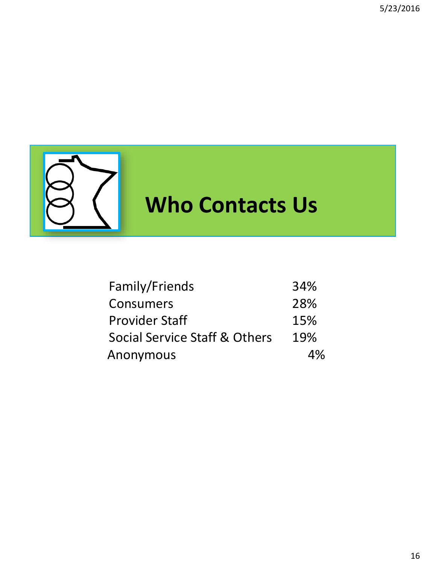

# **Who Contacts Us**

| Family/Friends                | 34% |
|-------------------------------|-----|
| Consumers                     | 28% |
| <b>Provider Staff</b>         | 15% |
| Social Service Staff & Others | 19% |
| Anonymous                     | 4%  |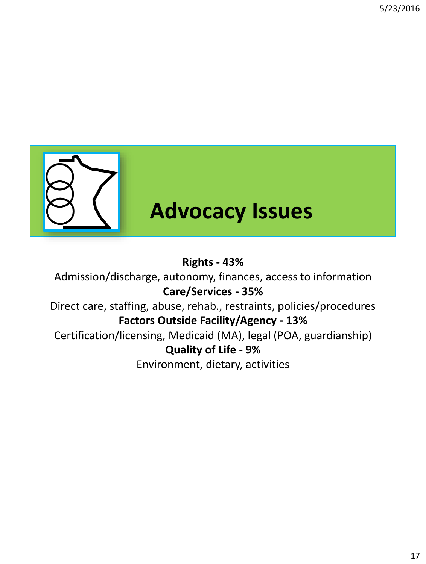

## **Advocacy Issues**

#### **Rights - 43%**

Admission/discharge, autonomy, finances, access to information **Care/Services - 35%** Direct care, staffing, abuse, rehab., restraints, policies/procedures

#### **Factors Outside Facility/Agency - 13%**

Certification/licensing, Medicaid (MA), legal (POA, guardianship) **Quality of Life - 9%**

Environment, dietary, activities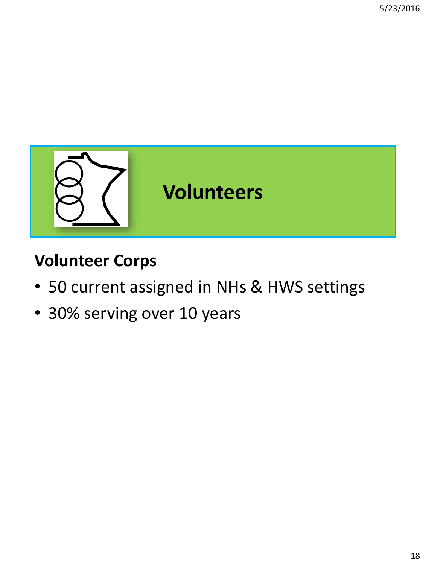

### **Volunteer Corps**

- 50 current assigned in NHs & HWS settings
- 30% serving over 10 years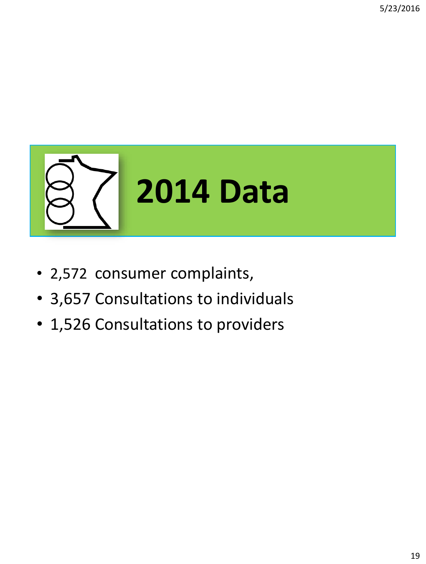

- 2,572 consumer complaints,
- 3,657 Consultations to individuals
- 1,526 Consultations to providers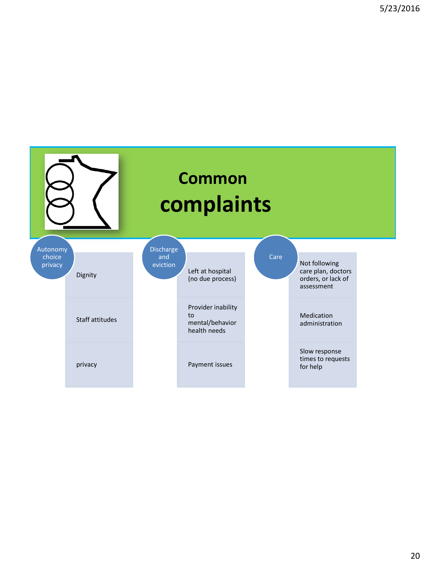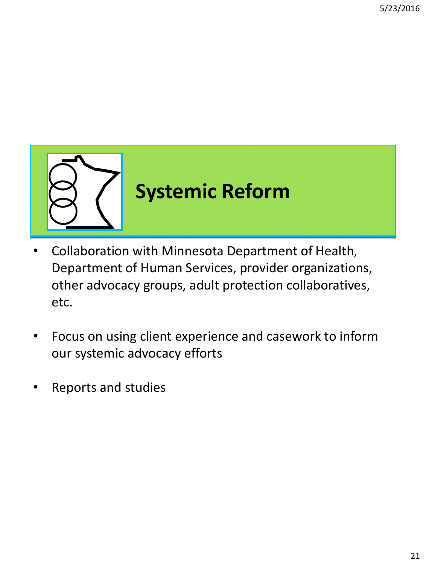

- Collaboration with Minnesota Department of Health, Department of Human Services, provider organizations, other advocacy groups, adult protection collaboratives, etc.
- Focus on using client experience and casework to inform our systemic advocacy efforts
- Reports and studies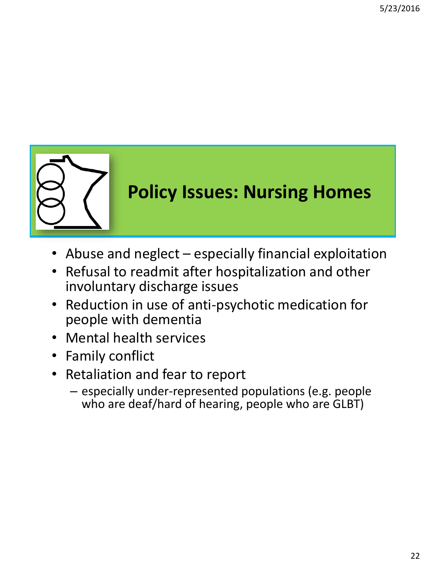

### **Policy Issues: Nursing Homes**

- Abuse and neglect especially financial exploitation
- Refusal to readmit after hospitalization and other involuntary discharge issues
- Reduction in use of anti-psychotic medication for people with dementia
- Mental health services
- Family conflict
- Retaliation and fear to report
	- especially under-represented populations (e.g. people who are deaf/hard of hearing, people who are GLBT)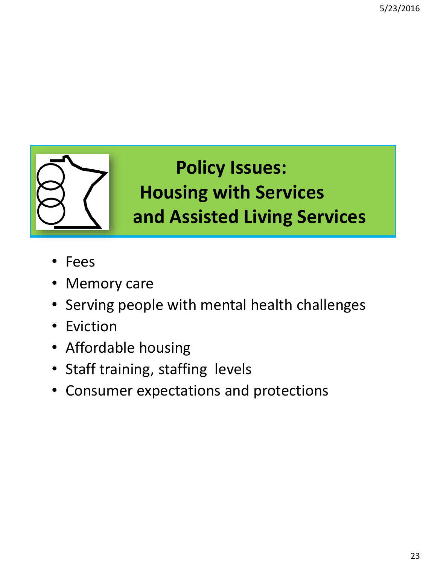

## **Policy Issues: Housing with Services a and Assisted Living Services**

- Fees
- Memory care
- Serving people with mental health challenges
- Eviction
- Affordable housing
- Staff training, staffing levels
- Consumer expectations and protections